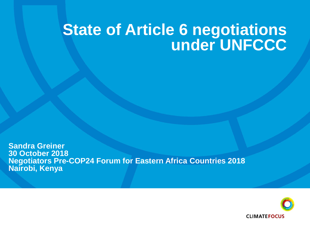### **State of Article 6 negotiations under UNFCCC**

**Sandra Greiner 30 October 2018 Negotiators Pre-COP24 Forum for Eastern Africa Countries 2018 Nairobi, Kenya**

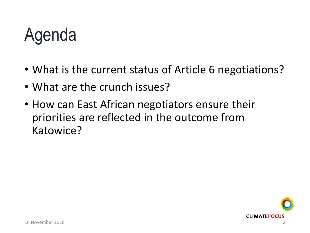### Agenda

- What is the current status of Article 6 negotiations?
- What are the crunch issues?
- How can East African negotiators ensure their priorities are reflected in the outcome from Katowice?

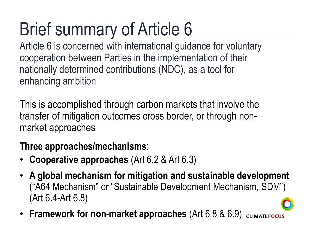### Brief summary of Article 6

Article 6 is concerned with international guidance for voluntary cooperation between Parties in the implementation of their nationally determined contributions (NDC), as a tool for enhancing ambition

This is accomplished through carbon markets that involve the transfer of mitigation outcomes cross border, or through nonmarket approaches

#### **Three approaches/mechanisms**:

- **Cooperative approaches** (Art 6.2 & Art 6.3)
- **A global mechanism for mitigation and sustainable development** ("A64 Mechanism" or "Sustainable Development Mechanism, SDM") (Art 6.4-Art 6.8)
- **Framework for non-market approaches** (Art 6.8 & 6.9)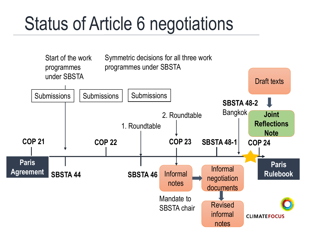### Status of Article 6 negotiations

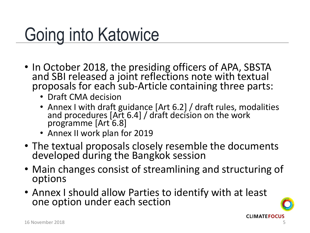### Going into Katowice

- In October 2018, the presiding officers of APA, SBSTA and SBI released a joint reflections note with textual proposals for each sub-Article containing three parts:
	- Draft CMA decision
	- Annex I with draft guidance [Art 6.2] / draft rules, modalities and procedures [Art 6.4] / draft decision on the work programme [Art 6.8]
	- Annex II work plan for 2019
- The textual proposals closely resemble the documents developed during the Bangkok session
- Main changes consist of streamlining and structuring of options
- Annex I should allow Parties to identify with at least one option under each section

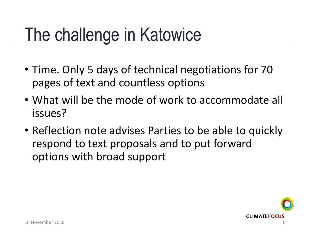### The challenge in Katowice

- Time. Only 5 days of technical negotiations for 70 pages of text and countless options
- What will be the mode of work to accommodate all issues?
- Reflection note advises Parties to be able to quickly respond to text proposals and to put forward options with broad support

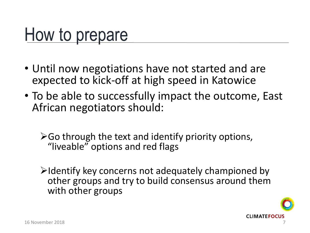### How to prepare

- Until now negotiations have not started and are expected to kick-off at high speed in Katowice
- To be able to successfully impact the outcome, East African negotiators should:
	- $\triangleright$  Go through the text and identify priority options, "liveable" options and red flags
	- $\triangleright$ Identify key concerns not adequately championed by other groups and try to build consensus around them with other groups

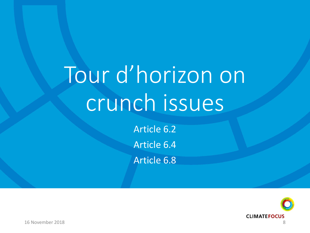# Tour d'horizon on crunch issues

Article 6.2 Article 6.4 Article 6.8

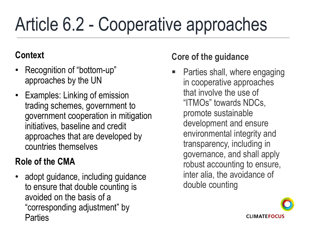## Article 6.2 - Cooperative approaches

#### **Context**

- Recognition of "bottom-up" approaches by the UN
- Examples: Linking of emission trading schemes, government to government cooperation in mitigation initiatives, baseline and credit approaches that are developed by countries themselves

#### **Role of the CMA**

• adopt guidance, including guidance to ensure that double counting is avoided on the basis of a "corresponding adjustment" by **Parties** 

#### **Core of the guidance**

 Parties shall, where engaging in cooperative approaches that involve the use of "ITMOs" towards NDCs, promote sustainable development and ensure environmental integrity and transparency, including in governance, and shall apply robust accounting to ensure, inter alia, the avoidance of double counting

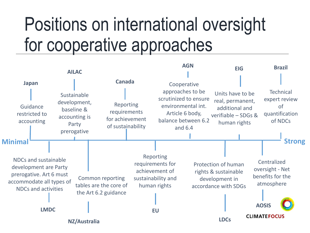### Positions on international oversight for cooperative approaches

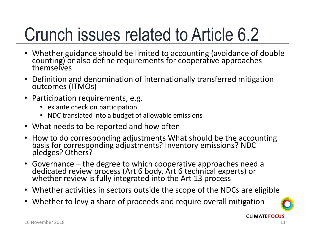### Crunch issues related to Article 6.2

- Whether guidance should be limited to accounting (avoidance of double counting) or also define requirements for cooperative approaches themselves
- Definition and denomination of internationally transferred mitigation outcomes (ITMOs)
- Participation requirements, e.g.
	- ex ante check on participation
	- NDC translated into a budget of allowable emissions
- What needs to be reported and how often
- How to do corresponding adjustments What should be the accounting basis for corresponding adjustments? Inventory emissions? NDC pledges? Others?
- Governance the degree to which cooperative approaches need a dedicated review process (Art 6 body, Art 6 technical experts) or whether review is fully integrated into the Art 13 process
- Whether activities in sectors outside the scope of the NDCs are eligible
- Whether to levy a share of proceeds and require overall mitigation

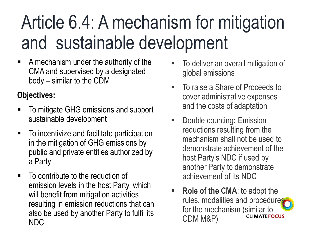### Article 6.4: A mechanism for mitigation and sustainable development

 A mechanism under the authority of the CMA and supervised by a designated body – similar to the CDM

#### **Objectives:**

- To mitigate GHG emissions and support sustainable development
- To incentivize and facilitate participation in the mitigation of GHG emissions by public and private entities authorized by a Party
- $\blacksquare$  To contribute to the reduction of emission levels in the host Party, which will benefit from mitigation activities resulting in emission reductions that can also be used by another Party to fulfil its NDC
- To deliver an overall mitigation of global emissions
- To raise a Share of Proceeds to cover administrative expenses and the costs of adaptation
- Double counting**:** Emission reductions resulting from the mechanism shall not be used to demonstrate achievement of the host Party's NDC if used by another Party to demonstrate achievement of its NDC
- **Role of the CMA**: to adopt the rules, modalities and procedures for the mechanism (similar to CDM M&P)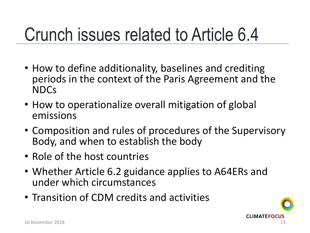### Crunch issues related to Article 6.4

- How to define additionality, baselines and crediting periods in the context of the Paris Agreement and the NDCs
- How to operationalize overall mitigation of global emissions
- Composition and rules of procedures of the Supervisory Body, and when to establish the body
- Role of the host countries
- Whether Article 6.2 guidance applies to A64ERs and under which circumstances
- Transition of CDM credits and activities

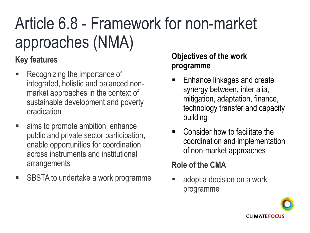### Article 6.8 - Framework for non-market approaches (NMA)

#### **Key features**

- **Recognizing the importance of** integrated, holistic and balanced nonmarket approaches in the context of sustainable development and poverty eradication
- aims to promote ambition, enhance public and private sector participation, enable opportunities for coordination across instruments and institutional arrangements
- SBSTA to undertake a work programme

#### **Objectives of the work programme**

- Enhance linkages and create synergy between, inter alia, mitigation, adaptation, finance, technology transfer and capacity building
- Consider how to facilitate the coordination and implementation of non-market approaches

#### **Role of the CMA**

**a** adopt a decision on a work programme